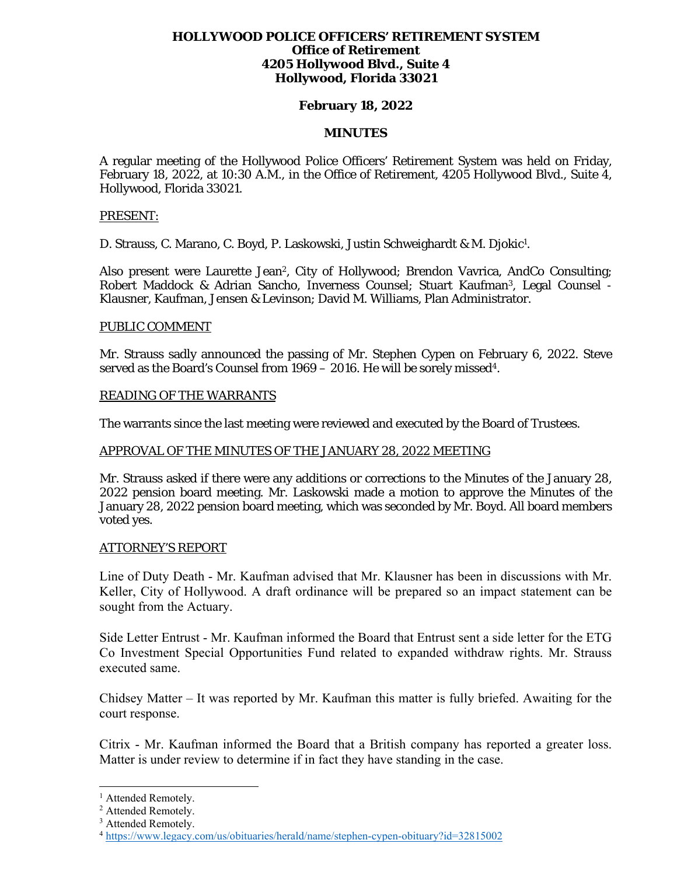## **HOLLYWOOD POLICE OFFICERS' RETIREMENT SYSTEM Office of Retirement 4205 Hollywood Blvd., Suite 4 Hollywood, Florida 33021**

## **February 18, 2022**

## **MINUTES**

A regular meeting of the Hollywood Police Officers' Retirement System was held on Friday, February 18, 2022, at 10:30 A.M., in the Office of Retirement, 4205 Hollywood Blvd., Suite 4, Hollywood, Florida 33021.

#### PRESENT:

D. Strauss, C. Marano, C. Boyd, P. Laskowski, Justin Schweighardt & M. Djokic<sup>1</sup>.

Also present were Laurette Jean<sup>2</sup>, City of Hollywood; Brendon Vavrica, AndCo Consulting; Robert Maddock & Adrian Sancho, Inverness Counsel; Stuart Kaufman3, Legal Counsel - Klausner, Kaufman, Jensen & Levinson; David M. Williams, Plan Administrator.

## PUBLIC COMMENT

Mr. Strauss sadly announced the passing of Mr. Stephen Cypen on February 6, 2022. Steve served as the Board's Counsel from 1969 – 2016. He will be sorely missed<sup>4</sup>.

## READING OF THE WARRANTS

The warrants since the last meeting were reviewed and executed by the Board of Trustees.

## APPROVAL OF THE MINUTES OF THE JANUARY 28, 2022 MEETING

Mr. Strauss asked if there were any additions or corrections to the Minutes of the January 28, 2022 pension board meeting. Mr. Laskowski made a motion to approve the Minutes of the January 28, 2022 pension board meeting, which was seconded by Mr. Boyd. All board members voted yes.

## ATTORNEY'S REPORT

Line of Duty Death - Mr. Kaufman advised that Mr. Klausner has been in discussions with Mr. Keller, City of Hollywood. A draft ordinance will be prepared so an impact statement can be sought from the Actuary.

Side Letter Entrust - Mr. Kaufman informed the Board that Entrust sent a side letter for the ETG Co Investment Special Opportunities Fund related to expanded withdraw rights. Mr. Strauss executed same.

Chidsey Matter – It was reported by Mr. Kaufman this matter is fully briefed. Awaiting for the court response.

Citrix - Mr. Kaufman informed the Board that a British company has reported a greater loss. Matter is under review to determine if in fact they have standing in the case.

<sup>&</sup>lt;sup>1</sup> Attended Remotely.

<sup>2</sup> Attended Remotely.

<sup>&</sup>lt;sup>3</sup> Attended Remotely.

<sup>4</sup> https://www.legacy.com/us/obituaries/herald/name/stephen-cypen-obituary?id=32815002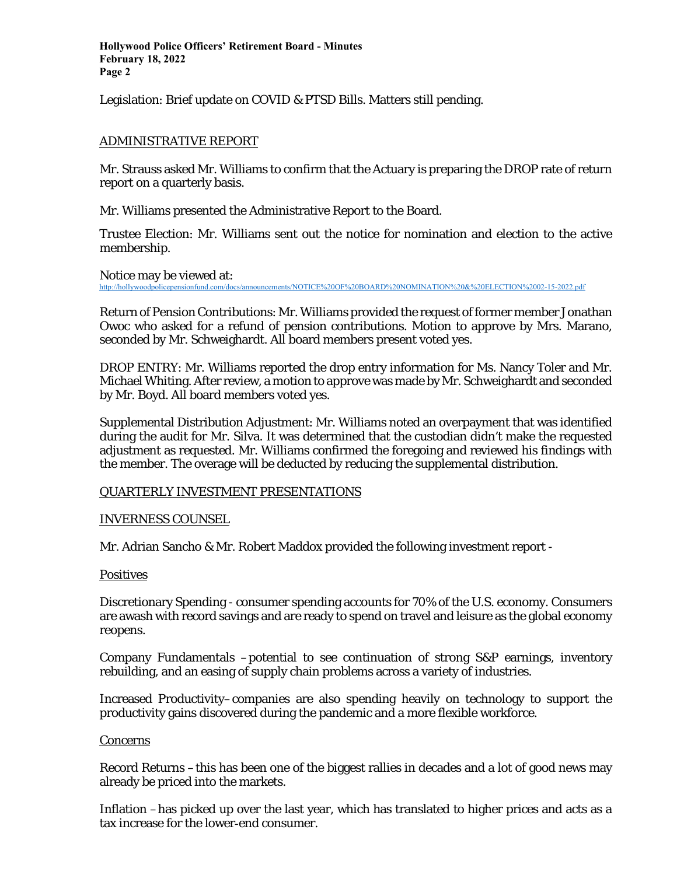**Hollywood Police Officers' Retirement Board - Minutes February 18, 2022 Page 2** 

Legislation: Brief update on COVID & PTSD Bills. Matters still pending.

## ADMINISTRATIVE REPORT

Mr. Strauss asked Mr. Williams to confirm that the Actuary is preparing the DROP rate of return report on a quarterly basis.

Mr. Williams presented the Administrative Report to the Board.

Trustee Election: Mr. Williams sent out the notice for nomination and election to the active membership.

Notice may be viewed at: http://hollywoodpolicepensionfund.com/docs/announcements/NOTICE%20OF%20BOARD%20NOMINATION%20&%20ELECTION%2002-15-2022.pdf

Return of Pension Contributions: Mr. Williams provided the request of former member Jonathan Owoc who asked for a refund of pension contributions. Motion to approve by Mrs. Marano, seconded by Mr. Schweighardt. All board members present voted yes.

DROP ENTRY: Mr. Williams reported the drop entry information for Ms. Nancy Toler and Mr. Michael Whiting. After review, a motion to approve was made by Mr. Schweighardt and seconded by Mr. Boyd. All board members voted yes.

Supplemental Distribution Adjustment: Mr. Williams noted an overpayment that was identified during the audit for Mr. Silva. It was determined that the custodian didn't make the requested adjustment as requested. Mr. Williams confirmed the foregoing and reviewed his findings with the member. The overage will be deducted by reducing the supplemental distribution.

## QUARTERLY INVESTMENT PRESENTATIONS

## INVERNESS COUNSEL

Mr. Adrian Sancho & Mr. Robert Maddox provided the following investment report -

## Positives

Discretionary Spending - consumer spending accounts for 70% of the U.S. economy. Consumers are awash with record savings and are ready to spend on travel and leisure as the global economy reopens.

Company Fundamentals –potential to see continuation of strong S&P earnings, inventory rebuilding, and an easing of supply chain problems across a variety of industries.

Increased Productivity–companies are also spending heavily on technology to support the productivity gains discovered during the pandemic and a more flexible workforce.

## **Concerns**

Record Returns –this has been one of the biggest rallies in decades and a lot of good news may already be priced into the markets.

Inflation –has picked up over the last year, which has translated to higher prices and acts as a tax increase for the lower‐end consumer.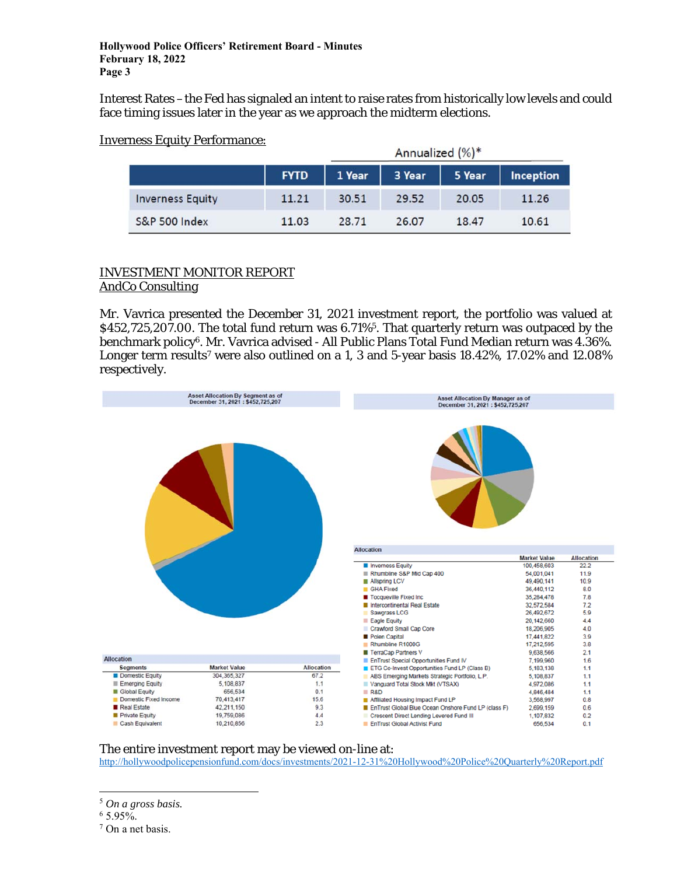Interest Rates –the Fed has signaled an intent to raise rates from historically low levels and could face timing issues later in the year as we approach the midterm elections.

|                          | Annualized (%)* |        |        |        |           |
|--------------------------|-----------------|--------|--------|--------|-----------|
|                          | <b>FYTD</b>     | 1 Year | 3 Year | 5 Year | Inception |
| <b>Inverness Equity</b>  | 11.21           | 30.51  | 29.52  | 20.05  | 11.26     |
| <b>S&amp;P 500 Index</b> | 11.03           | 28.71  | 26.07  | 18.47  | 10.61     |

## Inverness Equity Performance:

## INVESTMENT MONITOR REPORT AndCo Consulting

Mr. Vavrica presented the December 31, 2021 investment report, the portfolio was valued at \$452,725,207.00. The total fund return was 6.71%<sup>5</sup>. That quarterly return was outpaced by the benchmark policy6. Mr. Vavrica advised - All Public Plans Total Fund Median return was 4.36%. Longer term results<sup>7</sup> were also outlined on a 1, 3 and 5-year basis 18.42%, 17.02% and 12.08% respectively.



# The entire investment report may be viewed on-line at:

http://hollywoodpolicepensionfund.com/docs/investments/2021-12-31%20Hollywood%20Police%20Quarterly%20Report.pdf

<sup>5</sup> *On a gross basis.*

 $65.95\%$ .

<sup>7</sup> On a net basis.